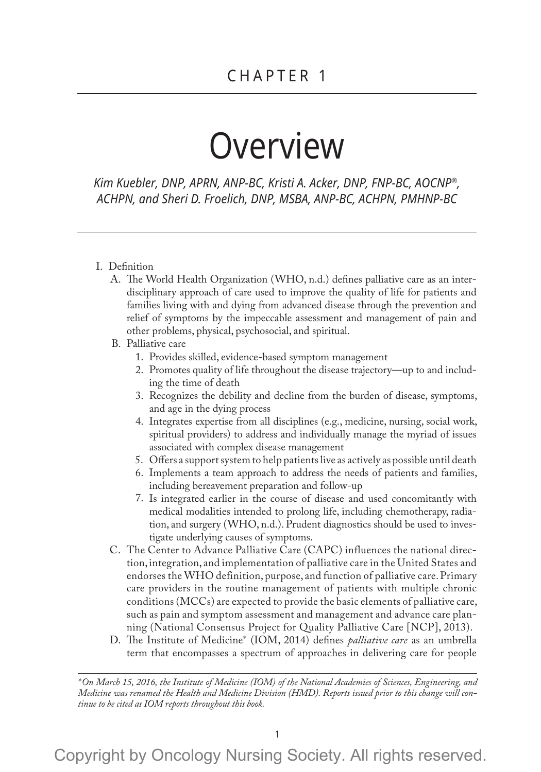# Overview

*Kim Kuebler, DNP, APRN, ANP-BC, Kristi A. Acker, DNP, FNP-BC, AOCNP®, ACHPN, and Sheri D. Froelich, DNP, MSBA, ANP-BC, ACHPN, PMHNP-BC*

## I. Definition

A. The World Health Organization (WHO, n.d.) defines palliative care as an interdisciplinary approach of care used to improve the quality of life for patients and families living with and dying from advanced disease through the prevention and relief of symptoms by the impeccable assessment and management of pain and other problems, physical, psychosocial, and spiritual.

### B. Palliative care

- 1. Provides skilled, evidence-based symptom management
- 2. Promotes quality of life throughout the disease trajectory—up to and including the time of death
- 3. Recognizes the debility and decline from the burden of disease, symptoms, and age in the dying process
- 4. Integrates expertise from all disciplines (e.g., medicine, nursing, social work, spiritual providers) to address and individually manage the myriad of issues associated with complex disease management
- 5. Offers a support system to help patients live as actively as possible until death
- 6. Implements a team approach to address the needs of patients and families, including bereavement preparation and follow-up
- 7. Is integrated earlier in the course of disease and used concomitantly with medical modalities intended to prolong life, including chemotherapy, radiation, and surgery (WHO, n.d.). Prudent diagnostics should be used to investigate underlying causes of symptoms.
- C. The Center to Advance Palliative Care (CAPC) influences the national direction, integration, and implementation of palliative care in the United States and endorses the WHO definition, purpose, and function of palliative care. Primary care providers in the routine management of patients with multiple chronic conditions (MCCs) are expected to provide the basic elements of palliative care, such as pain and symptom assessment and management and advance care planning (National Consensus Project for Quality Palliative Care [NCP], 2013).
- D. The Institute of Medicine\* (IOM, 2014) defines *palliative care* as an umbrella term that encompasses a spectrum of approaches in delivering care for people

*\*On March 15, 2016, the Institute of Medicine (IOM) of the National Academies of Sciences, Engineering, and Medicine was renamed the Health and Medicine Division (HMD). Reports issued prior to this change will continue to be cited as IOM reports throughout this book.*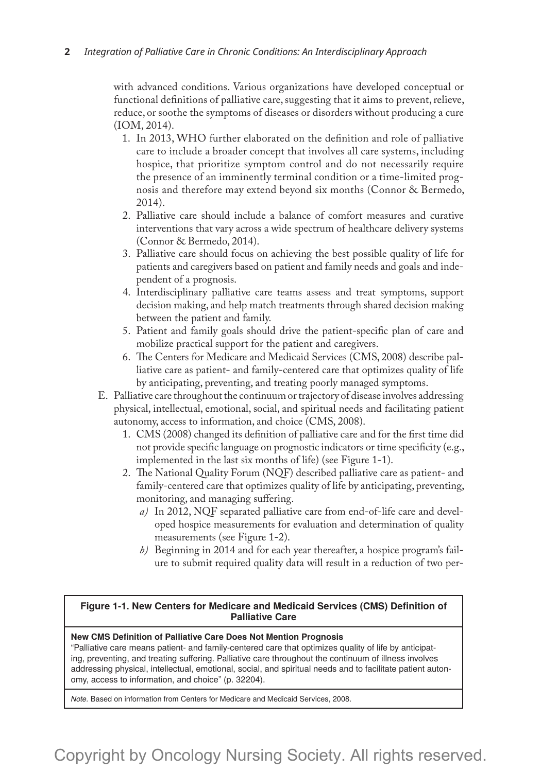with advanced conditions. Various organizations have developed conceptual or functional definitions of palliative care, suggesting that it aims to prevent, relieve, reduce, or soothe the symptoms of diseases or disorders without producing a cure (IOM, 2014).

- 1. In 2013, WHO further elaborated on the definition and role of palliative care to include a broader concept that involves all care systems, including hospice, that prioritize symptom control and do not necessarily require the presence of an imminently terminal condition or a time-limited prognosis and therefore may extend beyond six months (Connor & Bermedo, 2014).
- 2. Palliative care should include a balance of comfort measures and curative interventions that vary across a wide spectrum of healthcare delivery systems (Connor & Bermedo, 2014).
- 3. Palliative care should focus on achieving the best possible quality of life for patients and caregivers based on patient and family needs and goals and independent of a prognosis.
- 4. Interdisciplinary palliative care teams assess and treat symptoms, support decision making, and help match treatments through shared decision making between the patient and family.
- 5. Patient and family goals should drive the patient-specific plan of care and mobilize practical support for the patient and caregivers.
- 6. The Centers for Medicare and Medicaid Services (CMS, 2008) describe palliative care as patient- and family-centered care that optimizes quality of life by anticipating, preventing, and treating poorly managed symptoms.
- E. Palliative care throughout the continuum or trajectory of disease involves addressing physical, intellectual, emotional, social, and spiritual needs and facilitating patient autonomy, access to information, and choice (CMS, 2008).
	- 1. CMS (2008) changed its definition of palliative care and for the first time did not provide specific language on prognostic indicators or time specificity (e.g., implemented in the last six months of life) (see Figure 1-1).
	- 2. The National Quality Forum (NQF) described palliative care as patient- and family-centered care that optimizes quality of life by anticipating, preventing, monitoring, and managing suffering.
		- *a)* In 2012, NQF separated palliative care from end-of-life care and developed hospice measurements for evaluation and determination of quality measurements (see Figure 1-2).
		- *b)* Beginning in 2014 and for each year thereafter, a hospice program's failure to submit required quality data will result in a reduction of two per-

#### **Figure 1-1. New Centers for Medicare and Medicaid Services (CMS) Definition of Palliative Care**

#### **New CMS Definition of Palliative Care Does Not Mention Prognosis**

"Palliative care means patient- and family-centered care that optimizes quality of life by anticipating, preventing, and treating suffering. Palliative care throughout the continuum of illness involves addressing physical, intellectual, emotional, social, and spiritual needs and to facilitate patient autonomy, access to information, and choice" (p. 32204).

*Note.* Based on information from Centers for Medicare and Medicaid Services, 2008.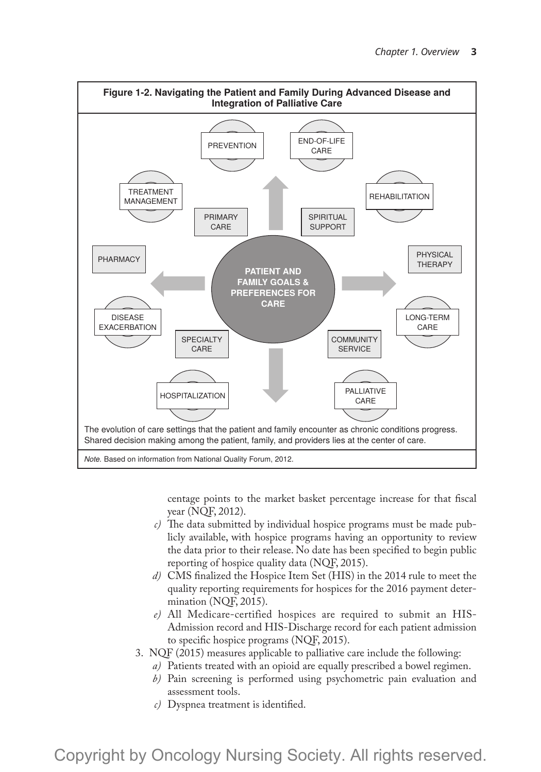

centage points to the market basket percentage increase for that fiscal year (NQF, 2012).

- *c)* The data submitted by individual hospice programs must be made publicly available, with hospice programs having an opportunity to review the data prior to their release. No date has been specified to begin public reporting of hospice quality data (NQF, 2015).
- *d)* CMS finalized the Hospice Item Set (HIS) in the 2014 rule to meet the quality reporting requirements for hospices for the 2016 payment determination (NQF, 2015).
- *e)* All Medicare-certified hospices are required to submit an HIS-Admission record and HIS-Discharge record for each patient admission to specific hospice programs (NQF, 2015).
- 3. NQF (2015) measures applicable to palliative care include the following:
	- *a)* Patients treated with an opioid are equally prescribed a bowel regimen.
		- *b)* Pain screening is performed using psychometric pain evaluation and assessment tools.
		- *c)* Dyspnea treatment is identified.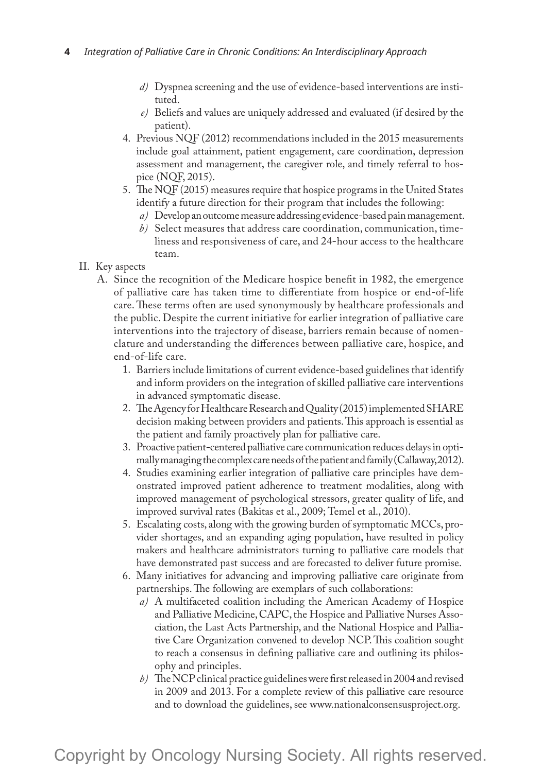- *d)* Dyspnea screening and the use of evidence-based interventions are instituted.
- *e)* Beliefs and values are uniquely addressed and evaluated (if desired by the patient).
- 4. Previous NQF (2012) recommendations included in the 2015 measurements include goal attainment, patient engagement, care coordination, depression assessment and management, the caregiver role, and timely referral to hospice (NQF, 2015).
- 5. The NQF (2015) measures require that hospice programs in the United States identify a future direction for their program that includes the following:
	- *a)* Develop an outcome measure addressing evidence-based pain management.
	- *b)* Select measures that address care coordination, communication, timeliness and responsiveness of care, and 24-hour access to the healthcare team.
- II. Key aspects
	- A. Since the recognition of the Medicare hospice benefit in 1982, the emergence of palliative care has taken time to differentiate from hospice or end-of-life care. These terms often are used synonymously by healthcare professionals and the public. Despite the current initiative for earlier integration of palliative care interventions into the trajectory of disease, barriers remain because of nomenclature and understanding the differences between palliative care, hospice, and end-of-life care.
		- 1. Barriers include limitations of current evidence-based guidelines that identify and inform providers on the integration of skilled palliative care interventions in advanced symptomatic disease.
		- 2. The Agency for Healthcare Research and Quality (2015) implemented SHARE decision making between providers and patients. This approach is essential as the patient and family proactively plan for palliative care.
		- 3. Proactive patient-centered palliative care communication reduces delays in optimally managing the complex care needs of the patient and family (Callaway, 2012).
		- 4. Studies examining earlier integration of palliative care principles have demonstrated improved patient adherence to treatment modalities, along with improved management of psychological stressors, greater quality of life, and improved survival rates (Bakitas et al., 2009; Temel et al., 2010).
		- 5. Escalating costs, along with the growing burden of symptomatic MCCs, provider shortages, and an expanding aging population, have resulted in policy makers and healthcare administrators turning to palliative care models that have demonstrated past success and are forecasted to deliver future promise.
		- 6. Many initiatives for advancing and improving palliative care originate from partnerships. The following are exemplars of such collaborations:
			- *a)* A multifaceted coalition including the American Academy of Hospice and Palliative Medicine, CAPC, the Hospice and Palliative Nurses Association, the Last Acts Partnership, and the National Hospice and Palliative Care Organization convened to develop NCP. This coalition sought to reach a consensus in defining palliative care and outlining its philosophy and principles.
			- *b)* The NCP clinical practice guidelines were first released in 2004 and revised in 2009 and 2013. For a complete review of this palliative care resource and to download the guidelines, see www.nationalconsensusproject.org.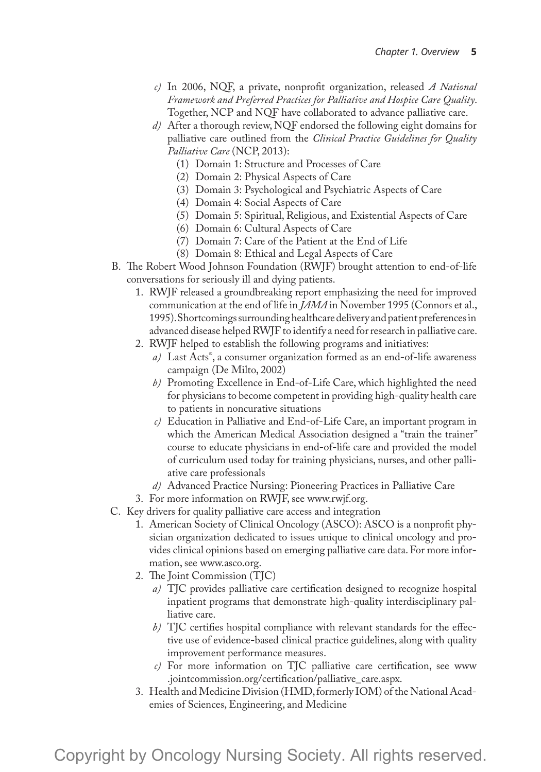- *c)* In 2006, NQF, a private, nonprofit organization, released *A National Framework and Preferred Practices for Palliative and Hospice Care Quality*. Together, NCP and NQF have collaborated to advance palliative care.
- *d)* After a thorough review, NQF endorsed the following eight domains for palliative care outlined from the *Clinical Practice Guidelines for Quality Palliative Care* (NCP, 2013):
	- (1) Domain 1: Structure and Processes of Care
	- (2) Domain 2: Physical Aspects of Care
	- (3) Domain 3: Psychological and Psychiatric Aspects of Care
	- (4) Domain 4: Social Aspects of Care
	- (5) Domain 5: Spiritual, Religious, and Existential Aspects of Care
	- (6) Domain 6: Cultural Aspects of Care
	- (7) Domain 7: Care of the Patient at the End of Life
	- (8) Domain 8: Ethical and Legal Aspects of Care
- B. The Robert Wood Johnson Foundation (RWJF) brought attention to end-of-life conversations for seriously ill and dying patients.
	- 1. RWJF released a groundbreaking report emphasizing the need for improved communication at the end of life in *JAMA* in November 1995 (Connors et al., 1995). Shortcomings surrounding healthcare delivery and patient preferences in advanced disease helped RWJF to identify a need for research in palliative care.
	- 2. RWJF helped to establish the following programs and initiatives:
		- *a)* Last Acts® , a consumer organization formed as an end-of-life awareness campaign (De Milto, 2002)
		- *b)* Promoting Excellence in End-of-Life Care, which highlighted the need for physicians to become competent in providing high-quality health care to patients in noncurative situations
		- *c)* Education in Palliative and End-of-Life Care, an important program in which the American Medical Association designed a "train the trainer" course to educate physicians in end-of-life care and provided the model of curriculum used today for training physicians, nurses, and other palliative care professionals
		- *d)* Advanced Practice Nursing: Pioneering Practices in Palliative Care
- 3. For more information on RWJF, see www.rwjf.org.
- C. Key drivers for quality palliative care access and integration
	- 1. American Society of Clinical Oncology (ASCO): ASCO is a nonprofit physician organization dedicated to issues unique to clinical oncology and provides clinical opinions based on emerging palliative care data. For more information, see www.asco.org.
	- 2. The Joint Commission (TJC)
		- *a)* TJC provides palliative care certification designed to recognize hospital inpatient programs that demonstrate high-quality interdisciplinary palliative care.
		- *b)* TJC certifies hospital compliance with relevant standards for the effective use of evidence-based clinical practice guidelines, along with quality improvement performance measures.
		- *c)* For more information on TJC palliative care certification, see www .jointcommission.org/certification/palliative\_care.aspx.
	- 3. Health and Medicine Division (HMD, formerly IOM) of the National Academies of Sciences, Engineering, and Medicine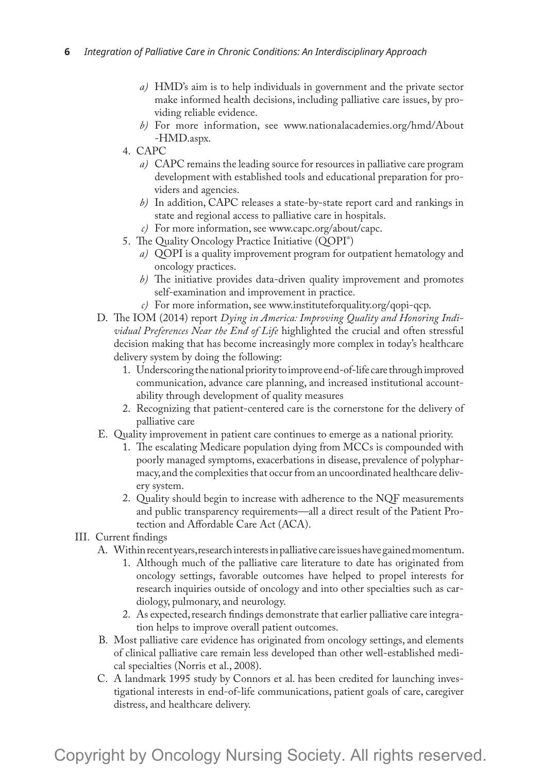- *a)* HMD's aim is to help individuals in government and the private sector make informed health decisions, including palliative care issues, by providing reliable evidence.
- *b)* For more information, see www.nationalacademies.org/hmd/About -HMD.aspx.
- 4. CAPC
	- *a)* CAPC remains the leading source for resources in palliative care program development with established tools and educational preparation for providers and agencies.
	- *b)* In addition, CAPC releases a state-by-state report card and rankings in state and regional access to palliative care in hospitals.
	- *c)* For more information, see www.capc.org/about/capc.
- 5. The Quality Oncology Practice Initiative (QOPI® )
	- *a)* QOPI is a quality improvement program for outpatient hematology and oncology practices.
	- *b)* The initiative provides data-driven quality improvement and promotes self-examination and improvement in practice.
	- *c)* For more information, see www.instituteforquality.org/qopi-qcp.
- D. The IOM (2014) report *Dying in America: Improving Quality and Honoring Individual Preferences Near the End of Life* highlighted the crucial and often stressful decision making that has become increasingly more complex in today's healthcare delivery system by doing the following:
	- 1. Underscoring the national priority to improve end-of-life care through improved communication, advance care planning, and increased institutional accountability through development of quality measures
	- 2. Recognizing that patient-centered care is the cornerstone for the delivery of palliative care
- E. Quality improvement in patient care continues to emerge as a national priority.
	- 1. The escalating Medicare population dying from MCCs is compounded with poorly managed symptoms, exacerbations in disease, prevalence of polypharmacy, and the complexities that occur from an uncoordinated healthcare delivery system.
	- 2. Quality should begin to increase with adherence to the NQF measurements and public transparency requirements—all a direct result of the Patient Protection and Affordable Care Act (ACA).
- III. Current findings
	- A. Within recent years, research interests in palliative care issues have gained momentum.
		- 1. Although much of the palliative care literature to date has originated from oncology settings, favorable outcomes have helped to propel interests for research inquiries outside of oncology and into other specialties such as cardiology, pulmonary, and neurology.
		- 2. As expected, research findings demonstrate that earlier palliative care integration helps to improve overall patient outcomes.
	- B. Most palliative care evidence has originated from oncology settings, and elements of clinical palliative care remain less developed than other well-established medical specialties (Norris et al., 2008).
	- C. A landmark 1995 study by Connors et al. has been credited for launching investigational interests in end-of-life communications, patient goals of care, caregiver distress, and healthcare delivery.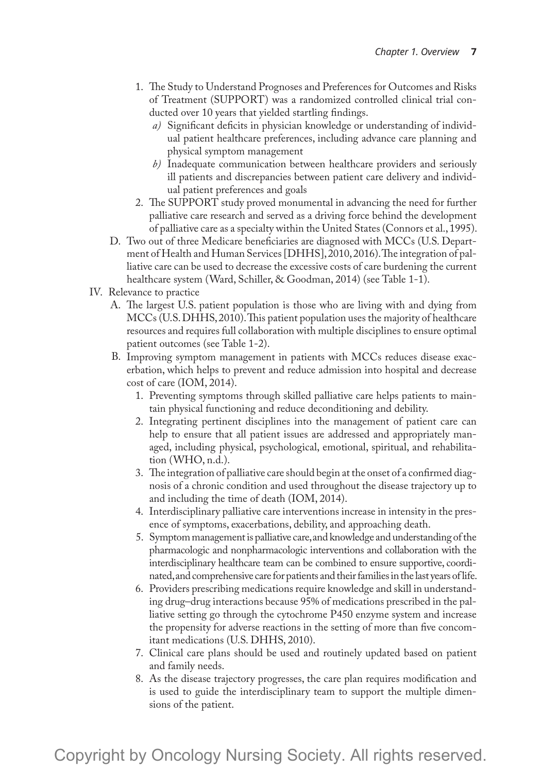- 1. The Study to Understand Prognoses and Preferences for Outcomes and Risks of Treatment (SUPPORT) was a randomized controlled clinical trial conducted over 10 years that yielded startling findings.
	- *a)* Significant deficits in physician knowledge or understanding of individual patient healthcare preferences, including advance care planning and physical symptom management
	- *b)* Inadequate communication between healthcare providers and seriously ill patients and discrepancies between patient care delivery and individual patient preferences and goals
- 2. The SUPPORT study proved monumental in advancing the need for further palliative care research and served as a driving force behind the development of palliative care as a specialty within the United States (Connors et al., 1995).
- D. Two out of three Medicare beneficiaries are diagnosed with MCCs (U.S. Department of Health and Human Services [DHHS], 2010, 2016). The integration of palliative care can be used to decrease the excessive costs of care burdening the current healthcare system (Ward, Schiller, & Goodman, 2014) (see Table 1-1).
- IV. Relevance to practice
	- A. The largest U.S. patient population is those who are living with and dying from MCCs (U.S. DHHS, 2010). This patient population uses the majority of healthcare resources and requires full collaboration with multiple disciplines to ensure optimal patient outcomes (see Table 1-2).
	- B. Improving symptom management in patients with MCCs reduces disease exacerbation, which helps to prevent and reduce admission into hospital and decrease cost of care (IOM, 2014).
		- 1. Preventing symptoms through skilled palliative care helps patients to maintain physical functioning and reduce deconditioning and debility.
		- 2. Integrating pertinent disciplines into the management of patient care can help to ensure that all patient issues are addressed and appropriately managed, including physical, psychological, emotional, spiritual, and rehabilitation (WHO, n.d.).
		- 3. The integration of palliative care should begin at the onset of a confirmed diagnosis of a chronic condition and used throughout the disease trajectory up to and including the time of death (IOM, 2014).
		- 4. Interdisciplinary palliative care interventions increase in intensity in the presence of symptoms, exacerbations, debility, and approaching death.
		- 5. Symptom management is palliative care, and knowledge and understanding of the pharmacologic and nonpharmacologic interventions and collaboration with the interdisciplinary healthcare team can be combined to ensure supportive, coordinated, and comprehensive care for patients and their families in the last years of life.
		- 6. Providers prescribing medications require knowledge and skill in understanding drug–drug interactions because 95% of medications prescribed in the palliative setting go through the cytochrome P450 enzyme system and increase the propensity for adverse reactions in the setting of more than five concomitant medications (U.S. DHHS, 2010).
		- 7. Clinical care plans should be used and routinely updated based on patient and family needs.
		- 8. As the disease trajectory progresses, the care plan requires modification and is used to guide the interdisciplinary team to support the multiple dimensions of the patient.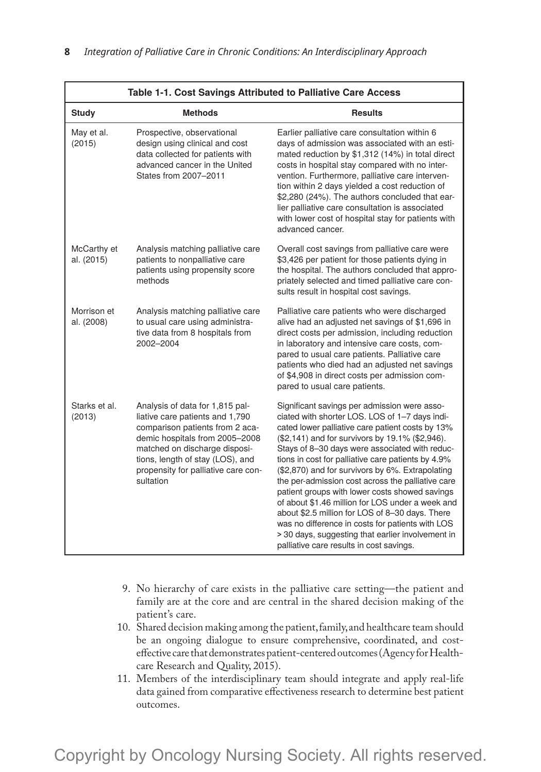| Table 1-1. Cost Savings Attributed to Palliative Care Access |                                                                                                                                                                                                                                                                  |                                                                                                                                                                                                                                                                                                                                                                                                                                                                                                                                                                                                                                                                                                                                      |
|--------------------------------------------------------------|------------------------------------------------------------------------------------------------------------------------------------------------------------------------------------------------------------------------------------------------------------------|--------------------------------------------------------------------------------------------------------------------------------------------------------------------------------------------------------------------------------------------------------------------------------------------------------------------------------------------------------------------------------------------------------------------------------------------------------------------------------------------------------------------------------------------------------------------------------------------------------------------------------------------------------------------------------------------------------------------------------------|
| <b>Study</b>                                                 | <b>Methods</b>                                                                                                                                                                                                                                                   | <b>Results</b>                                                                                                                                                                                                                                                                                                                                                                                                                                                                                                                                                                                                                                                                                                                       |
| May et al.<br>(2015)                                         | Prospective, observational<br>design using clinical and cost<br>data collected for patients with<br>advanced cancer in the United<br>States from 2007-2011                                                                                                       | Earlier palliative care consultation within 6<br>days of admission was associated with an esti-<br>mated reduction by \$1,312 (14%) in total direct<br>costs in hospital stay compared with no inter-<br>vention. Furthermore, palliative care interven-<br>tion within 2 days yielded a cost reduction of<br>\$2,280 (24%). The authors concluded that ear-<br>lier palliative care consultation is associated<br>with lower cost of hospital stay for patients with<br>advanced cancer.                                                                                                                                                                                                                                            |
| McCarthy et<br>al. (2015)                                    | Analysis matching palliative care<br>patients to nonpalliative care<br>patients using propensity score<br>methods                                                                                                                                                | Overall cost savings from palliative care were<br>\$3,426 per patient for those patients dying in<br>the hospital. The authors concluded that appro-<br>priately selected and timed palliative care con-<br>sults result in hospital cost savings.                                                                                                                                                                                                                                                                                                                                                                                                                                                                                   |
| Morrison et<br>al. (2008)                                    | Analysis matching palliative care<br>to usual care using administra-<br>tive data from 8 hospitals from<br>2002-2004                                                                                                                                             | Palliative care patients who were discharged<br>alive had an adjusted net savings of \$1,696 in<br>direct costs per admission, including reduction<br>in laboratory and intensive care costs, com-<br>pared to usual care patients. Palliative care<br>patients who died had an adjusted net savings<br>of \$4,908 in direct costs per admission com-<br>pared to usual care patients.                                                                                                                                                                                                                                                                                                                                               |
| Starks et al.<br>(2013)                                      | Analysis of data for 1,815 pal-<br>liative care patients and 1,790<br>comparison patients from 2 aca-<br>demic hospitals from 2005-2008<br>matched on discharge disposi-<br>tions, length of stay (LOS), and<br>propensity for palliative care con-<br>sultation | Significant savings per admission were asso-<br>ciated with shorter LOS. LOS of 1-7 days indi-<br>cated lower palliative care patient costs by 13%<br>(\$2,141) and for survivors by 19.1% (\$2,946).<br>Stays of 8-30 days were associated with reduc-<br>tions in cost for palliative care patients by 4.9%<br>(\$2,870) and for survivors by 6%. Extrapolating<br>the per-admission cost across the palliative care<br>patient groups with lower costs showed savings<br>of about \$1.46 million for LOS under a week and<br>about \$2.5 million for LOS of 8-30 days. There<br>was no difference in costs for patients with LOS<br>> 30 days, suggesting that earlier involvement in<br>palliative care results in cost savings. |

- 9. No hierarchy of care exists in the palliative care setting—the patient and family are at the core and are central in the shared decision making of the patient's care.
- 10. Shared decision making among the patient, family, and healthcare team should be an ongoing dialogue to ensure comprehensive, coordinated, and costeffective care that demonstrates patient-centered outcomes (Agency for Healthcare Research and Quality, 2015).
- 11. Members of the interdisciplinary team should integrate and apply real-life data gained from comparative effectiveness research to determine best patient outcomes.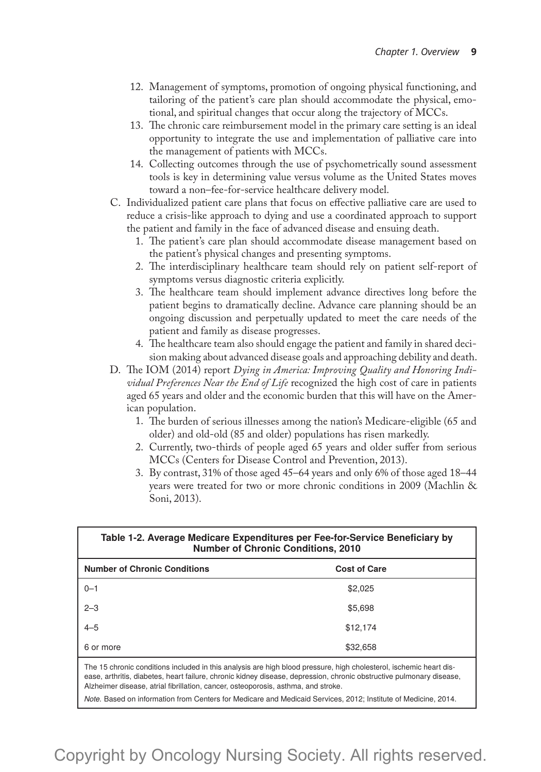- 12. Management of symptoms, promotion of ongoing physical functioning, and tailoring of the patient's care plan should accommodate the physical, emotional, and spiritual changes that occur along the trajectory of MCCs.
- 13. The chronic care reimbursement model in the primary care setting is an ideal opportunity to integrate the use and implementation of palliative care into the management of patients with MCCs.
- 14. Collecting outcomes through the use of psychometrically sound assessment tools is key in determining value versus volume as the United States moves toward a non–fee-for-service healthcare delivery model.
- C. Individualized patient care plans that focus on effective palliative care are used to reduce a crisis-like approach to dying and use a coordinated approach to support the patient and family in the face of advanced disease and ensuing death.
	- 1. The patient's care plan should accommodate disease management based on the patient's physical changes and presenting symptoms.
	- 2. The interdisciplinary healthcare team should rely on patient self-report of symptoms versus diagnostic criteria explicitly.
	- 3. The healthcare team should implement advance directives long before the patient begins to dramatically decline. Advance care planning should be an ongoing discussion and perpetually updated to meet the care needs of the patient and family as disease progresses.
	- 4. The healthcare team also should engage the patient and family in shared decision making about advanced disease goals and approaching debility and death.
- D. The IOM (2014) report *Dying in America: Improving Quality and Honoring Individual Preferences Near the End of Life* recognized the high cost of care in patients aged 65 years and older and the economic burden that this will have on the American population.
	- 1. The burden of serious illnesses among the nation's Medicare-eligible (65 and older) and old-old (85 and older) populations has risen markedly.
	- 2. Currently, two-thirds of people aged 65 years and older suffer from serious MCCs (Centers for Disease Control and Prevention, 2013).
	- 3. By contrast, 31% of those aged 45–64 years and only 6% of those aged 18–44 years were treated for two or more chronic conditions in 2009 (Machlin & Soni, 2013).

| Table 1-2. Average Medicare Expenditures per Fee-for-Service Beneficiary by<br><b>Number of Chronic Conditions, 2010</b> |                     |  |
|--------------------------------------------------------------------------------------------------------------------------|---------------------|--|
| <b>Number of Chronic Conditions</b>                                                                                      | <b>Cost of Care</b> |  |
| $0 - 1$                                                                                                                  | \$2,025             |  |
| $2 - 3$                                                                                                                  | \$5,698             |  |
| $4 - 5$                                                                                                                  | \$12,174            |  |
| 6 or more                                                                                                                | \$32,658            |  |

The 15 chronic conditions included in this analysis are high blood pressure, high cholesterol, ischemic heart disease, arthritis, diabetes, heart failure, chronic kidney disease, depression, chronic obstructive pulmonary disease, Alzheimer disease, atrial fibrillation, cancer, osteoporosis, asthma, and stroke.

*Note.* Based on information from Centers for Medicare and Medicaid Services, 2012; Institute of Medicine, 2014.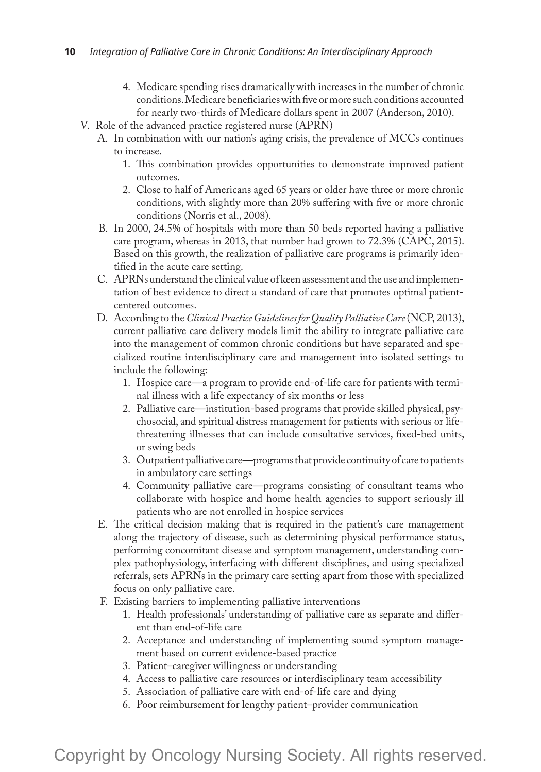- 4. Medicare spending rises dramatically with increases in the number of chronic conditions. Medicare beneficiaries with five or more such conditions accounted for nearly two-thirds of Medicare dollars spent in 2007 (Anderson, 2010).
- V. Role of the advanced practice registered nurse (APRN)
	- A. In combination with our nation's aging crisis, the prevalence of MCCs continues to increase.
		- 1. This combination provides opportunities to demonstrate improved patient outcomes.
		- 2. Close to half of Americans aged 65 years or older have three or more chronic conditions, with slightly more than 20% suffering with five or more chronic conditions (Norris et al., 2008).
	- B. In 2000, 24.5% of hospitals with more than 50 beds reported having a palliative care program, whereas in 2013, that number had grown to 72.3% (CAPC, 2015). Based on this growth, the realization of palliative care programs is primarily identified in the acute care setting.
	- C. APRNs understand the clinical value of keen assessment and the use and implementation of best evidence to direct a standard of care that promotes optimal patientcentered outcomes.
	- D. According to the *Clinical Practice Guidelines for Quality Palliative Care* (NCP, 2013), current palliative care delivery models limit the ability to integrate palliative care into the management of common chronic conditions but have separated and specialized routine interdisciplinary care and management into isolated settings to include the following:
		- 1. Hospice care—a program to provide end-of-life care for patients with terminal illness with a life expectancy of six months or less
		- 2. Palliative care—institution-based programs that provide skilled physical, psychosocial, and spiritual distress management for patients with serious or lifethreatening illnesses that can include consultative services, fixed-bed units, or swing beds
		- 3. Outpatient palliative care—programs that provide continuity of care to patients in ambulatory care settings
		- 4. Community palliative care—programs consisting of consultant teams who collaborate with hospice and home health agencies to support seriously ill patients who are not enrolled in hospice services
	- E. The critical decision making that is required in the patient's care management along the trajectory of disease, such as determining physical performance status, performing concomitant disease and symptom management, understanding complex pathophysiology, interfacing with different disciplines, and using specialized referrals, sets APRNs in the primary care setting apart from those with specialized focus on only palliative care.
	- F. Existing barriers to implementing palliative interventions
		- 1. Health professionals' understanding of palliative care as separate and different than end-of-life care
		- 2. Acceptance and understanding of implementing sound symptom management based on current evidence-based practice
		- 3. Patient–caregiver willingness or understanding
		- 4. Access to palliative care resources or interdisciplinary team accessibility
		- 5. Association of palliative care with end-of-life care and dying
		- 6. Poor reimbursement for lengthy patient–provider communication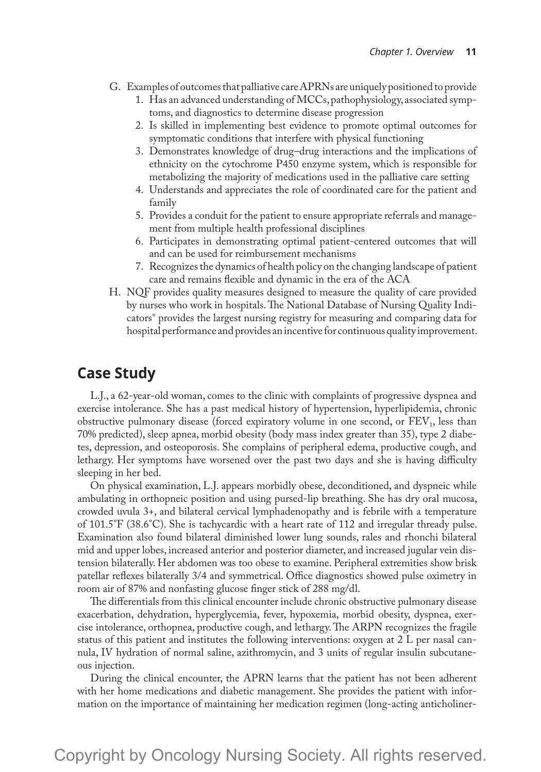- G. Examples of outcomes that palliative care APRNs are uniquely positioned to provide
	- 1. Has an advanced understanding of MCCs, pathophysiology, associated symptoms, and diagnostics to determine disease progression
	- 2. Is skilled in implementing best evidence to promote optimal outcomes for symptomatic conditions that interfere with physical functioning
	- 3. Demonstrates knowledge of drug–drug interactions and the implications of ethnicity on the cytochrome P450 enzyme system, which is responsible for metabolizing the majority of medications used in the palliative care setting
	- 4. Understands and appreciates the role of coordinated care for the patient and family
	- 5. Provides a conduit for the patient to ensure appropriate referrals and management from multiple health professional disciplines
	- 6. Participates in demonstrating optimal patient-centered outcomes that will and can be used for reimbursement mechanisms
	- 7. Recognizes the dynamics of health policy on the changing landscape of patient care and remains flexible and dynamic in the era of the ACA
- H. NQF provides quality measures designed to measure the quality of care provided by nurses who work in hospitals. The National Database of Nursing Quality Indicators® provides the largest nursing registry for measuring and comparing data for hospital performance and provides an incentive for continuous quality improvement.

## **Case Study**

L.J., a 62-year-old woman, comes to the clinic with complaints of progressive dyspnea and exercise intolerance. She has a past medical history of hypertension, hyperlipidemia, chronic obstructive pulmonary disease (forced expiratory volume in one second, or  $FEV<sub>1</sub>$ , less than 70% predicted), sleep apnea, morbid obesity (body mass index greater than 35), type 2 diabetes, depression, and osteoporosis. She complains of peripheral edema, productive cough, and lethargy. Her symptoms have worsened over the past two days and she is having difficulty sleeping in her bed.

On physical examination, L.J. appears morbidly obese, deconditioned, and dyspneic while ambulating in orthopneic position and using pursed-lip breathing. She has dry oral mucosa, crowded uvula 3+, and bilateral cervical lymphadenopathy and is febrile with a temperature of 101.5°F (38.6°C). She is tachycardic with a heart rate of 112 and irregular thready pulse. Examination also found bilateral diminished lower lung sounds, rales and rhonchi bilateral mid and upper lobes, increased anterior and posterior diameter, and increased jugular vein distension bilaterally. Her abdomen was too obese to examine. Peripheral extremities show brisk patellar reflexes bilaterally 3/4 and symmetrical. Office diagnostics showed pulse oximetry in room air of 87% and nonfasting glucose finger stick of 288 mg/dl.

The differentials from this clinical encounter include chronic obstructive pulmonary disease exacerbation, dehydration, hyperglycemia, fever, hypoxemia, morbid obesity, dyspnea, exercise intolerance, orthopnea, productive cough, and lethargy. The ARPN recognizes the fragile status of this patient and institutes the following interventions: oxygen at 2 L per nasal cannula, IV hydration of normal saline, azithromycin, and 3 units of regular insulin subcutaneous injection.

During the clinical encounter, the APRN learns that the patient has not been adherent with her home medications and diabetic management. She provides the patient with information on the importance of maintaining her medication regimen (long-acting anticholiner-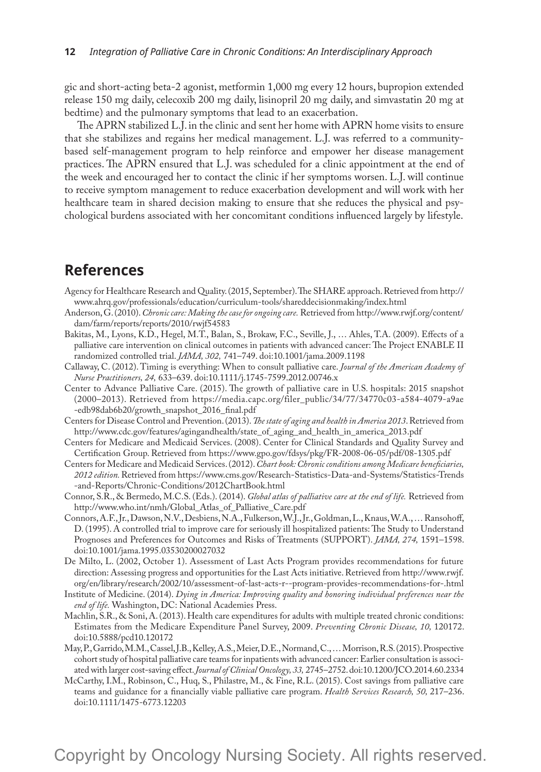gic and short-acting beta-2 agonist, metformin 1,000 mg every 12 hours, bupropion extended release 150 mg daily, celecoxib 200 mg daily, lisinopril 20 mg daily, and simvastatin 20 mg at bedtime) and the pulmonary symptoms that lead to an exacerbation.

The APRN stabilized L.J. in the clinic and sent her home with APRN home visits to ensure that she stabilizes and regains her medical management. L.J. was referred to a communitybased self-management program to help reinforce and empower her disease management practices. The APRN ensured that L.J. was scheduled for a clinic appointment at the end of the week and encouraged her to contact the clinic if her symptoms worsen. L.J. will continue to receive symptom management to reduce exacerbation development and will work with her healthcare team in shared decision making to ensure that she reduces the physical and psychological burdens associated with her concomitant conditions influenced largely by lifestyle.

## **References**

- Agency for Healthcare Research and Quality. (2015, September). The SHARE approach. Retrieved from http:// www.ahrq.gov/professionals/education/curriculum-tools/shareddecisionmaking/index.html
- Anderson, G. (2010). *Chronic care: Making the case for ongoing care.* Retrieved from http://www.rwjf.org/content/ dam/farm/reports/reports/2010/rwjf54583
- Bakitas, M., Lyons, K.D., Hegel, M.T., Balan, S., Brokaw, F.C., Seville, J., … Ahles, T.A. (2009). Effects of a palliative care intervention on clinical outcomes in patients with advanced cancer: The Project ENABLE II randomized controlled trial. *JAMA, 302,* 741–749. doi:10.1001/jama.2009.1198
- Callaway, C. (2012). Timing is everything: When to consult palliative care. *Journal of the American Academy of Nurse Practitioners, 24,* 633–639. doi:10.1111/j.1745-7599.2012.00746.x
- Center to Advance Palliative Care. (2015). The growth of palliative care in U.S. hospitals: 2015 snapshot (2000–2013). Retrieved from https://media.capc.org/filer\_public/34/77/34770c03-a584-4079-a9ae -edb98dab6b20/growth\_snapshot\_2016\_final.pdf
- Centers for Disease Control and Prevention. (2013). *The state of aging and health in America 2013*. Retrieved from http://www.cdc.gov/features/agingandhealth/state\_of\_aging\_and\_health\_in\_america\_2013.pdf
- Centers for Medicare and Medicaid Services. (2008). Center for Clinical Standards and Quality Survey and Certification Group. Retrieved from https://www.gpo.gov/fdsys/pkg/FR-2008-06-05/pdf/08-1305.pdf
- Centers for Medicare and Medicaid Services. (2012). *Chart book: Chronic conditions among Medicare beneficiaries, 2012 edition.* Retrieved from https://www.cms.gov/Research-Statistics-Data-and-Systems/Statistics-Trends -and-Reports/Chronic-Conditions/2012ChartBook.html
- Connor, S.R., & Bermedo, M.C.S. (Eds.). (2014). *Global atlas of palliative care at the end of life.* Retrieved from http://www.who.int/nmh/Global\_Atlas\_of\_Palliative\_Care.pdf
- Connors, A.F., Jr., Dawson, N.V., Desbiens, N.A., Fulkerson, W.J., Jr., Goldman, L., Knaus, W.A., … Ransohoff, D. (1995). A controlled trial to improve care for seriously ill hospitalized patients: The Study to Understand Prognoses and Preferences for Outcomes and Risks of Treatments (SUPPORT). *JAMA, 274,* 1591–1598. doi:10.1001/jama.1995.03530200027032
- De Milto, L. (2002, October 1). Assessment of Last Acts Program provides recommendations for future direction: Assessing progress and opportunities for the Last Acts initiative. Retrieved from http://www.rwjf. org/en/library/research/2002/10/assessment-of-last-acts-r--program-provides-recommendations-for-.html
- Institute of Medicine. (2014). *Dying in America: Improving quality and honoring individual preferences near the end of life.* Washington, DC: National Academies Press.
- Machlin, S.R., & Soni, A. (2013). Health care expenditures for adults with multiple treated chronic conditions: Estimates from the Medicare Expenditure Panel Survey, 2009. *Preventing Chronic Disease, 10,* 120172. doi:10.5888/pcd10.120172
- May, P., Garrido, M.M., Cassel, J.B., Kelley, A.S., Meier, D.E., Normand, C., … Morrison, R.S. (2015). Prospective cohort study of hospital palliative care teams for inpatients with advanced cancer: Earlier consultation is associated with larger cost-saving effect. *Journal of Clinical Oncology, 33,* 2745–2752. doi:10.1200/JCO.2014.60.2334
- McCarthy, I.M., Robinson, C., Huq, S., Philastre, M., & Fine, R.L. (2015). Cost savings from palliative care teams and guidance for a financially viable palliative care program. *Health Services Research, 50,* 217–236. doi:10.1111/1475-6773.12203